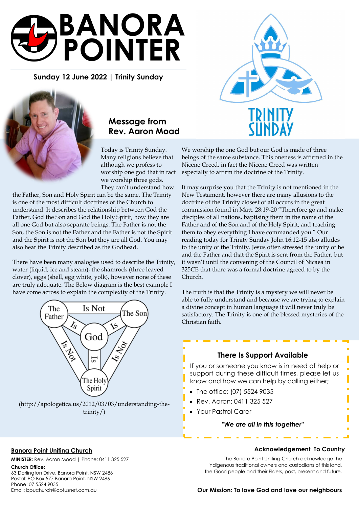

**Sunday 12 June 2022 | Trinity Sunday** 



# **Message from Rev. Aaron Moad**

Today is Trinity Sunday. Many religions believe that although we profess to worship one god that in fact we worship three gods. They can't understand how

the Father, Son and Holy Spirit can be the same. The Trinity is one of the most difficult doctrines of the Church to understand. It describes the relationship between God the Father, God the Son and God the Holy Spirit, how they are all one God but also separate beings. The Father is not the Son, the Son is not the Father and the Father is not the Spirit and the Spirit is not the Son but they are all God. You may also hear the Trinity described as the Godhead.

There have been many analogies used to describe the Trinity, water (liquid, ice and steam), the shamrock (three leaved clover), eggs (shell, egg white, yolk), however none of these are truly adequate. The Below diagram is the best example I have come across to explain the complexity of the Trinity.



trinity/)



We worship the one God but our God is made of three beings of the same substance. This oneness is affirmed in the Nicene Creed, in fact the Nicene Creed was written especially to affirm the doctrine of the Trinity.

It may surprise you that the Trinity is not mentioned in the New Testament, however there are many allusions to the doctrine of the Trinity closest of all occurs in the great commission found in Matt. 28:19-20 "Therefore go and make disciples of all nations, baptising them in the name of the Father and of the Son and of the Holy Spirit, and teaching them to obey everything I have commanded you." Our reading today for Trinity Sunday John 16:12-15 also alludes to the unity of the Trinity. Jesus often stressed the unity of he and the Father and that the Spirit is sent from the Father, but it wasn't until the convening of the Council of Nicaea in 325CE that there was a formal doctrine agreed to by the Church.

The truth is that the Trinity is a mystery we will never be able to fully understand and because we are trying to explain a divine concept in human language it will never truly be satisfactory. The Trinity is one of the blessed mysteries of the Christian faith.

### **There Is Support Available**

If you or someone you know is in need of help or support during these difficult times, please let us know and how we can help by calling either;

- The office: (07) 5524 9035
- Rev. Aaron: 0411 325 527
- Your Pastrol Carer

#### *"We are all in this together"*

#### **Banora Point Uniting Church**

**MINISTER:** Rev. Aaron Moad | Phone: 0411 325 527

#### **Church Office:**

63 Darlington Drive, Banora Point, NSW 2486 Postal: PO Box 577 Banora Point, NSW 2486 Phone: 07 5524 9035 Email: bpuchurch@optusnet.com.au

#### **Acknowledgement To Country**

The Banora Point Uniting Church acknowledge the indigenous traditional owners and custodians of this land, the Goori people and their Elders, past, present and future.

**Our Mission: To love God and love our neighbours**